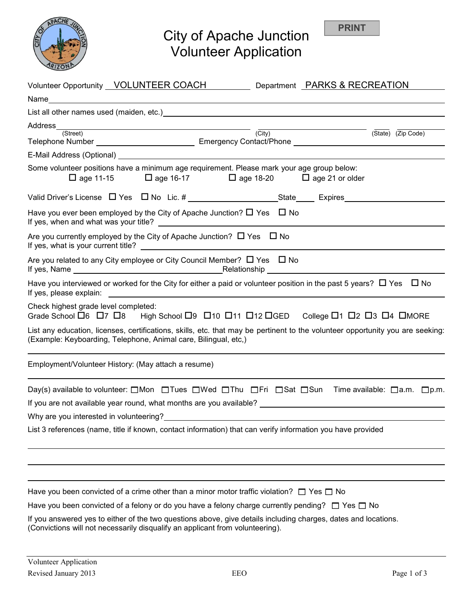

# City of Apache Junction Volunteer Application

| Volunteer Opportunity VOLUNTEER COACH Department PARKS & RECREATION                                                                                                                                   |
|-------------------------------------------------------------------------------------------------------------------------------------------------------------------------------------------------------|
| Name                                                                                                                                                                                                  |
|                                                                                                                                                                                                       |
| Address (City)                                                                                                                                                                                        |
| (State) (Zip Code)                                                                                                                                                                                    |
|                                                                                                                                                                                                       |
| Some volunteer positions have a minimum age requirement. Please mark your age group below:<br>$\Box$ age 11-15 $\Box$ age 16-17 $\Box$ age 18-20 $\Box$ age 21 or older                               |
|                                                                                                                                                                                                       |
| Have you ever been employed by the City of Apache Junction? $\square$ Yes $\square$ No                                                                                                                |
| Are you currently employed by the City of Apache Junction? $\Box$ Yes $\Box$ No                                                                                                                       |
| Are you related to any City employee or City Council Member? $\Box$ Yes $\Box$ No                                                                                                                     |
| Have you interviewed or worked for the City for either a paid or volunteer position in the past 5 years? $\Box$ Yes $\Box$ No                                                                         |
| Check highest grade level completed:<br>Grade School $\Box$ 6 $\Box$ 7 $\Box$ 8 High School $\Box$ 9 $\Box$ 10 $\Box$ 11 $\Box$ 12 $\Box$ GED College $\Box$ 1 $\Box$ 2 $\Box$ 3 $\Box$ 4 $\Box$ MORE |
| List any education, licenses, certifications, skills, etc. that may be pertinent to the volunteer opportunity you are seeking:<br>(Example: Keyboarding, Telephone, Animal care, Bilingual, etc,)     |
| Employment/Volunteer History: (May attach a resume)                                                                                                                                                   |
| Day(s) available to volunteer:  □ Mon  □ Tues  □ Wed □ Thu □ Fri □ Sat □ Sun Time available: □ a.m. □ p.m.                                                                                            |
| If you are not available year round, what months are you available? ________________________________                                                                                                  |
| Why are you interested in volunteering?                                                                                                                                                               |
| List 3 references (name, title if known, contact information) that can verify information you have provided                                                                                           |
|                                                                                                                                                                                                       |
|                                                                                                                                                                                                       |
| Have you been convicted of a crime other than a minor motor traffic violation? $\square$ Yes $\square$ No                                                                                             |
| Have you been convicted of a felony or do you have a felony charge currently pending? $\Box$ Yes $\Box$ No                                                                                            |

If you answered yes to either of the two questions above, give details including charges, dates and locations. (Convictions will not necessarily disqualify an applicant from volunteering).

**PRINT**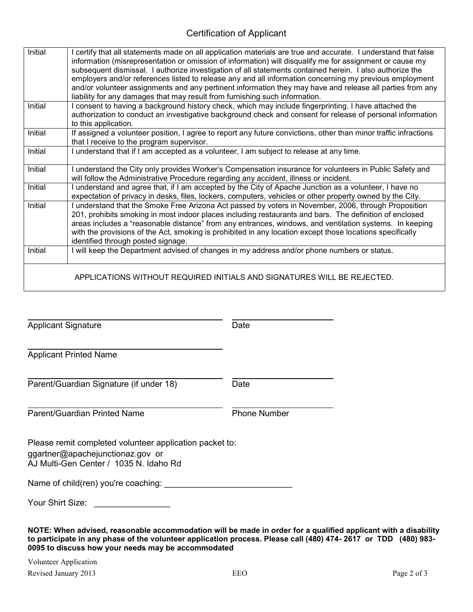### Certification of Applicant

| Initial | I certify that all statements made on all application materials are true and accurate. I understand that false   |
|---------|------------------------------------------------------------------------------------------------------------------|
|         | information (misrepresentation or omission of information) will disqualify me for assignment or cause my         |
|         | subsequent dismissal. I authorize investigation of all statements contained herein. I also authorize the         |
|         | employers and/or references listed to release any and all information concerning my previous employment          |
|         | and/or volunteer assignments and any pertinent information they may have and release all parties from any        |
|         | liability for any damages that may result from furnishing such information.                                      |
| Initial | I consent to having a background history check, which may include fingerprinting. I have attached the            |
|         | authorization to conduct an investigative background check and consent for release of personal information       |
|         | to this application.                                                                                             |
| Initial | If assigned a volunteer position, I agree to report any future convictions, other than minor traffic infractions |
|         | that I receive to the program supervisor.                                                                        |
| Initial | I understand that if I am accepted as a volunteer, I am subject to release at any time.                          |
|         |                                                                                                                  |
| Initial | I understand the City only provides Worker's Compensation insurance for volunteers in Public Safety and          |
|         | will follow the Administrative Procedure regarding any accident, illness or incident.                            |
| Initial | I understand and agree that, if I am accepted by the City of Apache Junction as a volunteer, I have no           |
|         | expectation of privacy in desks, files, lockers, computers, vehicles or other property owned by the City.        |
| Initial | I understand that the Smoke Free Arizona Act passed by voters in November, 2006, through Proposition             |
|         | 201, prohibits smoking in most indoor places including restaurants and bars. The definition of enclosed          |
|         | areas includes a "reasonable distance" from any entrances, windows, and ventilation systems. In keeping          |
|         | with the provisions of the Act, smoking is prohibited in any location except those locations specifically        |
|         | identified through posted signage.                                                                               |
| Initial | I will keep the Department advised of changes in my address and/or phone numbers or status.                      |
|         |                                                                                                                  |
|         |                                                                                                                  |
|         | APPLICATIONS WITHOUT REQUIRED INITIALS AND SIGNATURES WILL BE REJECTED.                                          |
|         |                                                                                                                  |

Applicant Signature Date

 $\overline{a}$ 

 $\overline{\phantom{a}}$ 

 $\overline{\phantom{a}}$ Applicant Printed Name

 $\overline{\phantom{a}}$ Parent/Guardian Signature (if under 18) Date

Parent/Guardian Printed Name **Phone Number** 

Please remit completed volunteer application packet to: ggartner@apachejunctionaz.gov or AJ Multi-Gen Center / 1035 N. Idaho Rd

Name of child(ren) you're coaching: \_\_\_\_\_\_\_\_\_\_\_\_\_\_\_\_\_\_\_\_\_\_\_\_\_\_\_

| Your Shirt Size: |  |
|------------------|--|
|                  |  |

**NOTE: When advised, reasonable accommodation will be made in order for a qualified applicant with a disability to participate in any phase of the volunteer application process. Please call (480) 474- 2617 or TDD (480) 983- 0095 to discuss how your needs may be accommodated** 

Volunteer Application Revised January 2013 **EEO** Page 2 of 3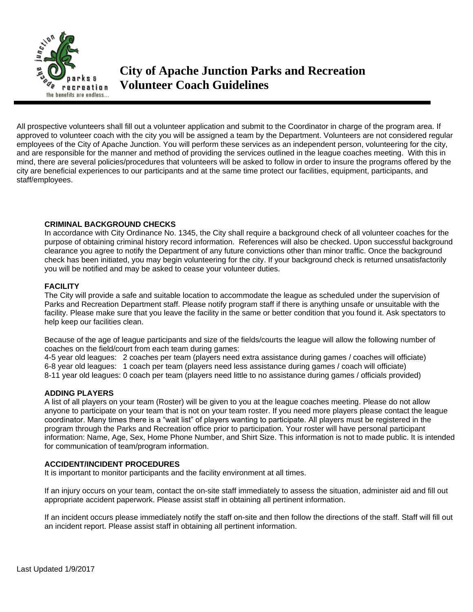

All prospective volunteers shall fill out a volunteer application and submit to the Coordinator in charge of the program area. If approved to volunteer coach with the city you will be assigned a team by the Department. Volunteers are not considered regular employees of the City of Apache Junction. You will perform these services as an independent person, volunteering for the city, and are responsible for the manner and method of providing the services outlined in the league coaches meeting. With this in mind, there are several policies/procedures that volunteers will be asked to follow in order to insure the programs offered by the city are beneficial experiences to our participants and at the same time protect our facilities, equipment, participants, and staff/employees.

#### **CRIMINAL BACKGROUND CHECKS**

In accordance with City Ordinance No. 1345, the City shall require a background check of all volunteer coaches for the purpose of obtaining criminal history record information. References will also be checked. Upon successful background clearance you agree to notify the Department of any future convictions other than minor traffic. Once the background check has been initiated, you may begin volunteering for the city. If your background check is returned unsatisfactorily you will be notified and may be asked to cease your volunteer duties.

#### **FACILITY**

The City will provide a safe and suitable location to accommodate the league as scheduled under the supervision of Parks and Recreation Department staff. Please notify program staff if there is anything unsafe or unsuitable with the facility. Please make sure that you leave the facility in the same or better condition that you found it. Ask spectators to help keep our facilities clean.

Because of the age of league participants and size of the fields/courts the league will allow the following number of coaches on the field/court from each team during games:

4-5 year old leagues: 2 coaches per team (players need extra assistance during games / coaches will officiate) 6-8 year old leagues: 1 coach per team (players need less assistance during games / coach will officiate) 8-11 year old leagues: 0 coach per team (players need little to no assistance during games / officials provided)

#### **ADDING PLAYERS**

A list of all players on your team (Roster) will be given to you at the league coaches meeting. Please do not allow anyone to participate on your team that is not on your team roster. If you need more players please contact the league coordinator. Many times there is a "wait list" of players wanting to participate. All players must be registered in the program through the Parks and Recreation office prior to participation. Your roster will have personal participant information: Name, Age, Sex, Home Phone Number, and Shirt Size. This information is not to made public. It is intended for communication of team/program information.

#### **ACCIDENT/INCIDENT PROCEDURES**

It is important to monitor participants and the facility environment at all times.

If an injury occurs on your team, contact the on-site staff immediately to assess the situation, administer aid and fill out appropriate accident paperwork. Please assist staff in obtaining all pertinent information.

If an incident occurs please immediately notify the staff on-site and then follow the directions of the staff. Staff will fill out an incident report. Please assist staff in obtaining all pertinent information.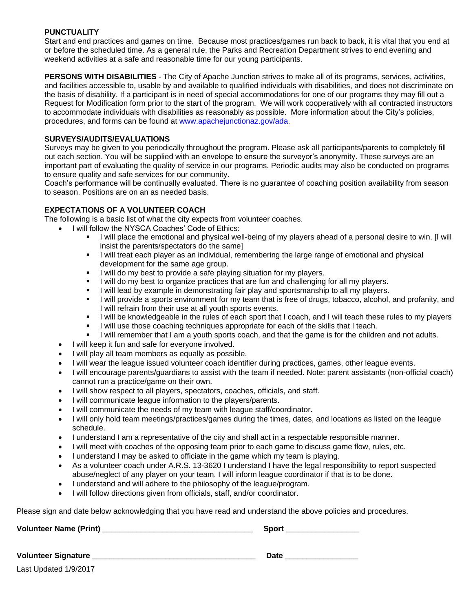#### **PUNCTUALITY**

Start and end practices and games on time. Because most practices/games run back to back, it is vital that you end at or before the scheduled time. As a general rule, the Parks and Recreation Department strives to end evening and weekend activities at a safe and reasonable time for our young participants.

**PERSONS WITH DISABILITIES** - The City of Apache Junction strives to make all of its programs, services, activities, and facilities accessible to, usable by and available to qualified individuals with disabilities, and does not discriminate on the basis of disability. If a participant is in need of special accommodations for one of our programs they may fill out a Request for Modification form prior to the start of the program. We will work cooperatively with all contracted instructors to accommodate individuals with disabilities as reasonably as possible. More information about the City's policies, procedures, and forms can be found at [www.apachejunctionaz.gov/ada.](http://www.ajcity.net/ada)

#### **SURVEYS/AUDITS/EVALUATIONS**

Surveys may be given to you periodically throughout the program. Please ask all participants/parents to completely fill out each section. You will be supplied with an envelope to ensure the surveyor's anonymity. These surveys are an important part of evaluating the quality of service in our programs. Periodic audits may also be conducted on programs to ensure quality and safe services for our community.

Coach's performance will be continually evaluated. There is no guarantee of coaching position availability from season to season. Positions are on an as needed basis.

#### **EXPECTATIONS OF A VOLUNTEER COACH**

The following is a basic list of what the city expects from volunteer coaches.

- I will follow the NYSCA Coaches' Code of Ethics:
	- I will place the emotional and physical well-being of my players ahead of a personal desire to win. [I will insist the parents/spectators do the same]
	- **I** will treat each player as an individual, remembering the large range of emotional and physical development for the same age group.
	- I will do my best to provide a safe playing situation for my players.
	- I will do my best to organize practices that are fun and challenging for all my players.
	- I will lead by example in demonstrating fair play and sportsmanship to all my players.
	- I will provide a sports environment for my team that is free of drugs, tobacco, alcohol, and profanity, and I will refrain from their use at all youth sports events.
	- I will be knowledgeable in the rules of each sport that I coach, and I will teach these rules to my players
	- **I** lwill use those coaching techniques appropriate for each of the skills that I teach.
	- I will remember that I am a youth sports coach, and that the game is for the children and not adults.
	- I will keep it fun and safe for everyone involved.
	- I will play all team members as equally as possible.
	- I will wear the league issued volunteer coach identifier during practices, games, other league events.
	- I will encourage parents/guardians to assist with the team if needed. Note: parent assistants (non-official coach) cannot run a practice/game on their own.
	- I will show respect to all players, spectators, coaches, officials, and staff.
	- I will communicate league information to the players/parents.
	- I will communicate the needs of my team with league staff/coordinator.
	- I will only hold team meetings/practices/games during the times, dates, and locations as listed on the league schedule.
	- I understand I am a representative of the city and shall act in a respectable responsible manner.
	- I will meet with coaches of the opposing team prior to each game to discuss game flow, rules, etc.
	- I understand I may be asked to officiate in the game which my team is playing.
	- As a volunteer coach under A.R.S. 13-3620 I understand I have the legal responsibility to report suspected abuse/neglect of any player on your team. I will inform league coordinator if that is to be done.
	- I understand and will adhere to the philosophy of the league/program.
	- I will follow directions given from officials, staff, and/or coordinator.

Please sign and date below acknowledging that you have read and understand the above policies and procedures.

**Volunteer Name (Print) \_\_\_\_\_\_\_\_\_\_\_\_\_\_\_\_\_\_\_\_\_\_\_\_\_\_\_\_\_\_\_\_\_\_\_ Sport \_\_\_\_\_\_\_\_\_\_\_\_\_\_\_\_\_**

**Volunteer Signature \_\_\_\_\_\_\_\_\_\_\_\_\_\_\_\_\_\_\_\_\_\_\_\_\_\_\_\_\_\_\_\_\_\_\_\_\_\_ Date \_\_\_\_\_\_\_\_\_\_\_\_\_\_\_\_\_**

Last Updated 1/9/2017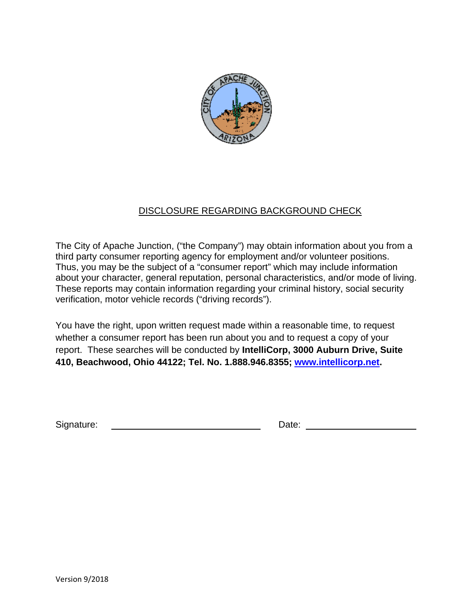

## DISCLOSURE REGARDING BACKGROUND CHECK

The City of Apache Junction, ("the Company") may obtain information about you from a third party consumer reporting agency for employment and/or volunteer positions. Thus, you may be the subject of a "consumer report" which may include information about your character, general reputation, personal characteristics, and/or mode of living. These reports may contain information regarding your criminal history, social security verification, motor vehicle records ("driving records").

You have the right, upon written request made within a reasonable time, to request whether a consumer report has been run about you and to request a copy of your report. These searches will be conducted by **IntelliCorp, 3000 Auburn Drive, Suite 410, Beachwood, Ohio 44122; Tel. No. 1.888.946.8355; www.intellicorp.net.** 

Signature: Date: Date: Date: Date: Date: Date: Date: Date: Date: Date: Date: Date: Date: Date: Date: Date: Date: Date: Date: Date: Date: Date: Date: Date: Date: Date: Date: Date: Date: Date: Date: Date: Date: Date: Date: D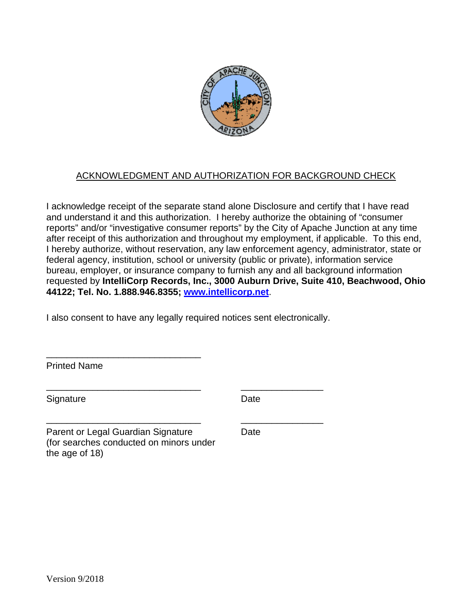

## ACKNOWLEDGMENT AND AUTHORIZATION FOR BACKGROUND CHECK

I acknowledge receipt of the separate stand alone Disclosure and certify that I have read and understand it and this authorization. I hereby authorize the obtaining of "consumer reports" and/or "investigative consumer reports" by the City of Apache Junction at any time after receipt of this authorization and throughout my employment, if applicable. To this end, I hereby authorize, without reservation, any law enforcement agency, administrator, state or federal agency, institution, school or university (public or private), information service bureau, employer, or insurance company to furnish any and all background information requested by **IntelliCorp Records, Inc., 3000 Auburn Drive, Suite 410, Beachwood, Ohio 44122; Tel. No. 1.888.946.8355; www.intellicorp.net**.

I also consent to have any legally required notices sent electronically.

\_\_\_\_\_\_\_\_\_\_\_\_\_\_\_\_\_\_\_\_\_\_\_\_\_\_\_\_\_\_ \_\_\_\_\_\_\_\_\_\_\_\_\_\_\_\_

\_\_\_\_\_\_\_\_\_\_\_\_\_\_\_\_\_\_\_\_\_\_\_\_\_\_\_\_\_\_ \_\_\_\_\_\_\_\_\_\_\_\_\_\_\_\_

Printed Name

Signature Date

Parent or Legal Guardian Signature Date (for searches conducted on minors under the age of 18)

\_\_\_\_\_\_\_\_\_\_\_\_\_\_\_\_\_\_\_\_\_\_\_\_\_\_\_\_\_\_